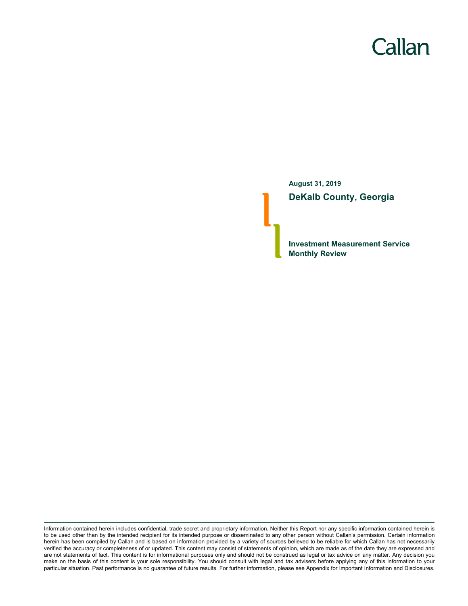# Callan

**August 31, 2019 DeKalb County, Georgia**

**Investment Measurement Service Monthly Review**

Information contained herein includes confidential, trade secret and proprietary information. Neither this Report nor any specific information contained herein is to be used other than by the intended recipient for its intended purpose or disseminated to any other person without Callan's permission. Certain information herein has been compiled by Callan and is based on information provided by a variety of sources believed to be reliable for which Callan has not necessarily verified the accuracy or completeness of or updated. This content may consist of statements of opinion, which are made as of the date they are expressed and are not statements of fact. This content is for informational purposes only and should not be construed as legal or tax advice on any matter. Any decision you make on the basis of this content is your sole responsibility. You should consult with legal and tax advisers before applying any of this information to your particular situation. Past performance is no guarantee of future results. For further information, please see Appendix for Important Information and Disclosures.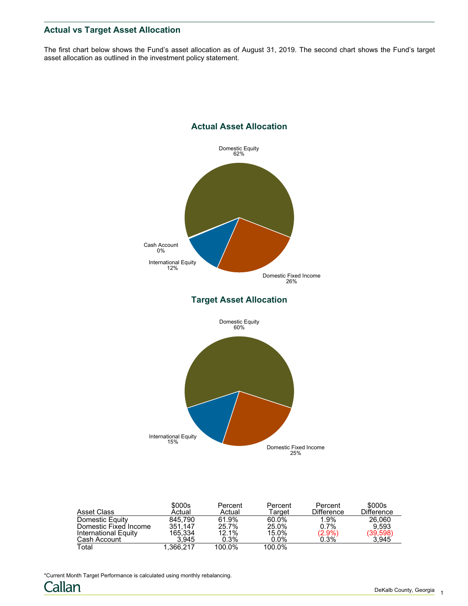# **Actual vs Target Asset Allocation**

The first chart below shows the Fund's asset allocation as of August 31, 2019. The second chart shows the Fund's target asset allocation as outlined in the investment policy statement.



| Asset Class           | \$000s<br>Actual | Percent<br>Actual | Percent<br>Target | Percent<br><b>Difference</b> | \$000s<br>Difference  |
|-----------------------|------------------|-------------------|-------------------|------------------------------|-----------------------|
| Domestic Equity       | 845.790          | 61.9%             | 60.0%             | 1.9%                         | 26.060                |
| Domestic Fixed Income | 351.147          | 25.7%             | 25.0%             | 0.7%                         | 9.593                 |
| International Equity  | 165.334          | 12.1%             | 15.0%             | $(2.9\%)$<br>0.3%            | $(39,598)$<br>$3,945$ |
| Cash Account          | 3.945            | $0.3\%$           | $0.0\%$           |                              |                       |
| Total                 | 1.366.217        | 100.0%            | 100.0%            |                              |                       |

\*Current Month Target Performance is calculated using monthly rebalancing.

Callan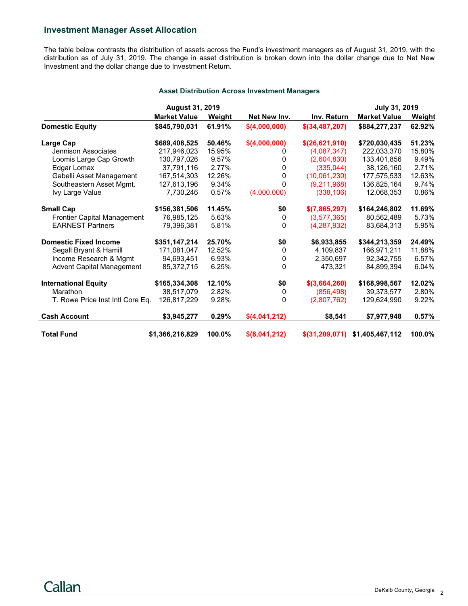## **Investment Manager Asset Allocation**

The table below contrasts the distribution of assets across the Fund's investment managers as of August 31, 2019, with the distribution as of July 31, 2019. The change in asset distribution is broken down into the dollar change due to Net New Investment and the dollar change due to Investment Return.

|  | <b>Asset Distribution Across Investment Managers</b> |  |  |  |
|--|------------------------------------------------------|--|--|--|
|--|------------------------------------------------------|--|--|--|

|                                    | <b>August 31, 2019</b> |        |               |                  | July 31, 2019       |               |
|------------------------------------|------------------------|--------|---------------|------------------|---------------------|---------------|
|                                    | <b>Market Value</b>    | Weight | Net New Inv.  | Inv. Return      | <b>Market Value</b> | <u>Weight</u> |
| <b>Domestic Equity</b>             | \$845,790,031          | 61.91% | \$(4,000,000) | $$$ (34,487,207) | \$884,277,237       | 62.92%        |
| Large Cap                          | \$689,408,525          | 50.46% | \$(4,000,000) | \$(26,621,910)   | \$720.030.435       | 51.23%        |
| Jennison Associates                | 217,946,023            | 15.95% | O             | (4,087,347)      | 222,033,370         | 15.80%        |
| Loomis Large Cap Growth            | 130,797,026            | 9.57%  | 0             | (2,604,830)      | 133,401,856         | 9.49%         |
| Edgar Lomax                        | 37,791,116             | 2.77%  | 0             | (335, 044)       | 38,126,160          | 2.71%         |
| Gabelli Asset Management           | 167,514,303            | 12.26% | 0             | (10,061,230)     | 177,575,533         | 12.63%        |
| Southeastern Asset Mgmt.           | 127,613,196            | 9.34%  | 0             | (9,211,968)      | 136,825,164         | 9.74%         |
| Ivy Large Value                    | 7.730.246              | 0.57%  | (4,000,000)   | (338, 106)       | 12,068,353          | 0.86%         |
| <b>Small Cap</b>                   | \$156,381,506          | 11.45% | \$0           | \$(7,865,297)    | \$164,246,802       | 11.69%        |
| <b>Frontier Capital Management</b> | 76,985,125             | 5.63%  | 0             | (3,577,365)      | 80,562,489          | 5.73%         |
| <b>EARNEST Partners</b>            | 79,396,381             | 5.81%  | $\Omega$      | (4,287,932)      | 83,684,313          | 5.95%         |
| <b>Domestic Fixed Income</b>       | \$351,147,214          | 25.70% | \$0           | \$6,933,855      | \$344,213,359       | 24.49%        |
| Segall Bryant & Hamill             | 171,081,047            | 12.52% | 0             | 4,109,837        | 166,971,211         | 11.88%        |
| Income Research & Mgmt             | 94,693,451             | 6.93%  | 0             | 2,350,697        | 92,342,755          | 6.57%         |
| <b>Advent Capital Management</b>   | 85,372,715             | 6.25%  | $\mathbf 0$   | 473.321          | 84,899,394          | 6.04%         |
| <b>International Equity</b>        | \$165,334,308          | 12.10% | \$0           | \$(3,664,260)    | \$168,998,567       | 12.02%        |
| Marathon                           | 38,517,079             | 2.82%  | 0             | (856, 498)       | 39,373,577          | 2.80%         |
| T. Rowe Price Inst Intl Core Eq.   | 126,817,229            | 9.28%  | $\Omega$      | (2,807,762)      | 129,624,990         | 9.22%         |
| <b>Cash Account</b>                | \$3,945,277            | 0.29%  | \$(4,041,212) | \$8,541          | \$7,977,948         | 0.57%         |
| <b>Total Fund</b>                  | \$1,366,216,829        | 100.0% | \$(8,041,212) | \$(31,209,071)   | \$1,405,467,112     | 100.0%        |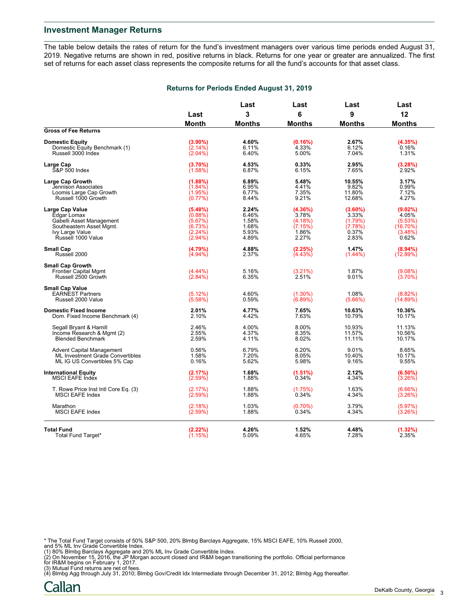The table below details the rates of return for the fund's investment managers over various time periods ended August 31, 2019. Negative returns are shown in red, positive returns in black. Returns for one year or greater are annualized. The first set of returns for each asset class represents the composite returns for all the fund's accounts for that asset class.

#### **Returns for Periods Ended August 31, 2019**

|                                                                                |                       | Last           |                       | Last             | Last                     |
|--------------------------------------------------------------------------------|-----------------------|----------------|-----------------------|------------------|--------------------------|
|                                                                                | Last                  | 3              | 6                     | 9                | 12                       |
|                                                                                | <b>Month</b>          | <b>Months</b>  | <b>Months</b>         | <b>Months</b>    | <b>Months</b>            |
| <b>Gross of Fee Returns</b>                                                    |                       |                |                       |                  |                          |
| <b>Domestic Equity</b>                                                         | (3.90%)               | 4.60%          | (0.16%)               | 2.67%            | (4.35%)                  |
| Domestic Equity Benchmark (1)                                                  | $(2.14\%)$            | 6.11%          | 4.33%                 | 6.12%            | 0.16%                    |
| Russell 3000 Index                                                             | $(2.04\%)$            | 6.40%          | 5.00%                 | 7.04%            | 1.31%                    |
| Large Cap                                                                      | (3.70%)               | 4.53%          | 0.33%                 | 2.95%            | (3.28%)                  |
| <b>S&amp;P 500 Index</b>                                                       | (1.58%)               | 6.87%          | 6.15%                 | 7.65%            | 2.92%                    |
| <b>Large Cap Growth</b>                                                        | (1.88%)               | 6.89%          | 5.48%                 | 10.55%           | 3.17%                    |
| Jennison Associates                                                            | $(1.84\%)$            | 6.95%          | 4.41%                 | 9.82%            | 0.99%                    |
| Loomis Large Cap Growth                                                        | (1.95%)               | 6.77%          | 7.35%                 | 11.80%           | 7.12%                    |
| Russell 1000 Growth                                                            | $(0.77\%)$            | 8.44%          | 9.21%                 | 12.68%           | 4.27%                    |
| Large Cap Value                                                                | (5.48%)               | 2.24%          | (4.36%)               | $(3.60\%)$       | (9.02%)                  |
| Edgar Lomax                                                                    | (0.88%)               | 6.46%          | 3.78%                 | 3.33%            | 4.05%                    |
| Gabelli Asset Management                                                       | (5.67%)               | 1.58%          | (4.18%)               | (1.79%)          | (5.53%)                  |
| Southeastern Asset Mgmt.                                                       | (6.73%)               | 1.68%          | (7.15%)               | (7.78%)          | $(16.70\%)$              |
| Ivy Large Value                                                                | (2.24%)               | 5.93%          | 1.86%                 | 0.37%            | (3.48%)                  |
| Russell 1000 Value                                                             | $(2.94\%)$            | 4.89%          | 2.27%                 | 2.83%            | 0.62%                    |
| <b>Small Cap</b>                                                               | (4.79%)               | 4.88%          | (2.25%)               | 1.47%            | $(8.94\%)$               |
| Russell 2000                                                                   | $(4.94\%)$            | 2.37%          | (4.43%)               | (1.44%)          | (12.89%)                 |
| <b>Small Cap Growth</b><br><b>Frontier Capital Mgmt</b><br>Russell 2500 Growth | $(4.44\%)$<br>(2.84%) | 5.16%<br>6.35% | $(3.21\%)$<br>2.51%   | 1.87%<br>9.01%   | $(9.08\%)$<br>$(3.70\%)$ |
| <b>Small Cap Value</b><br><b>EARNEST Partners</b><br>Russell 2000 Value        | (5.12%)<br>(5.58%)    | 4.60%<br>0.59% | $(1.30\%)$<br>(6.89%) | 1.08%<br>(5.66%) | $(8.82\%)$<br>(14.89%)   |
| <b>Domestic Fixed Income</b>                                                   | 2.01%                 | 4.77%          | 7.65%                 | 10.63%           | 10.36%                   |
| Dom. Fixed Income Benchmark (4)                                                | 2.10%                 | 4.42%          | 7.63%                 | 10.79%           | 10.17%                   |
| Segall Bryant & Hamill                                                         | 2.46%                 | 4.00%          | 8.00%                 | 10.93%           | 11.13%                   |
| Income Research & Mgmt (2)                                                     | 2.55%                 | 4.37%          | 8.35%                 | 11.57%           | 10.56%                   |
| <b>Blended Benchmark</b>                                                       | 2.59%                 | 4.11%          | 8.02%                 | 11.11%           | 10.17%                   |
| <b>Advent Capital Management</b>                                               | 0.56%                 | 6.79%          | 6.20%                 | 9.01%            | 8.65%                    |
| ML Investment Grade Convertibles                                               | 1.58%                 | 7.20%          | 8.05%                 | 10.40%           | 10.17%                   |
| ML IG US Convertibles 5% Cap                                                   | 0.16%                 | 5.62%          | 5.98%                 | 9.16%            | 9.55%                    |
| <b>International Equity</b>                                                    | (2.17%)               | 1.68%          | (1.51%)               | 2.12%            | $(6.50\%)$               |
| <b>MSCI EAFE Index</b>                                                         | (2.59%)               | 1.88%          | 0.34%                 | 4.34%            | (3.26%)                  |
| T. Rowe Price Inst Intl Core Eq. (3)                                           | (2.17%)               | 1.88%          | (1.75%)               | 1.63%            | (6.66%)                  |
| <b>MSCI EAFE Index</b>                                                         | (2.59%)               | 1.88%          | 0.34%                 | 4.34%            | (3.26%)                  |
| Marathon                                                                       | (2.18%)               | 1.03%          | $(0.70\%)$            | 3.79%            | (5.97%)                  |
| <b>MSCI EAFE Index</b>                                                         | (2.59%)               | 1.88%          | 0.34%                 | 4.34%            | (3.26%)                  |
| <b>Total Fund</b>                                                              | (2.22%)               | 4.26%          | 1.52%                 | 4.48%            | (1.32%)                  |
| Total Fund Target*                                                             | (1.15%)               | 5.09%          | 4.65%                 | 7.28%            | 2.35%                    |

\* The Total Fund Target consists of 50% S&P 500, 20% Blmbg Barclays Aggregate, 15% MSCI EAFE, 10% Russell 2000,<br>and 5% ML Inv Grade Convertible Index.<br>(1) 80% Blmbg Barclays Aggregate and 20% ML Inv Grade Convertible Index

for IR&M begins on February 1, 2017.

(3) Mutual Fund returns are net of fees. (4) Blmbg Agg through July 31, 2010; Blmbg Gov/Credit Idx Intermediate through December 31, 2012; Blmbg Agg thereafter.

Callan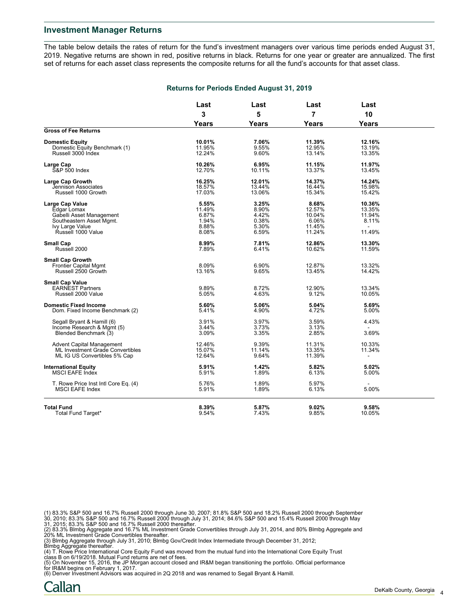The table below details the rates of return for the fund's investment managers over various time periods ended August 31, 2019. Negative returns are shown in red, positive returns in black. Returns for one year or greater are annualized. The first set of returns for each asset class represents the composite returns for all the fund's accounts for that asset class.

|                                                                                                                                 | Last                                                | Last                                               | Last                                                   | Last                                                          |  |
|---------------------------------------------------------------------------------------------------------------------------------|-----------------------------------------------------|----------------------------------------------------|--------------------------------------------------------|---------------------------------------------------------------|--|
|                                                                                                                                 | 3                                                   | 5                                                  | 7                                                      | 10                                                            |  |
|                                                                                                                                 | Years                                               | <b>Years</b>                                       | Years                                                  | <b>Years</b>                                                  |  |
| <b>Gross of Fee Returns</b>                                                                                                     |                                                     |                                                    |                                                        |                                                               |  |
| <b>Domestic Equity</b><br>Domestic Equity Benchmark (1)<br>Russell 3000 Index                                                   | 10.01%<br>11.95%<br>12.24%                          | 7.06%<br>9.55%<br>9.60%                            | 11.39%<br>12.95%<br>13.14%                             | 12.16%<br>13.19%<br>13.35%                                    |  |
| Large Cap<br><b>S&amp;P 500 Index</b>                                                                                           | 10.26%<br>12.70%                                    | 6.95%<br>10.11%                                    | 11.15%<br>13.37%                                       | 11.97%<br>13.45%                                              |  |
| <b>Large Cap Growth</b><br>Jennison Associates<br>Russell 1000 Growth                                                           | 16.25%<br>18.57%<br>17.03%                          | 12.01%<br>13.44%<br>13.06%                         | 14.37%<br>16.44%<br>15.34%                             | 14.24%<br>15.98%<br>15.42%                                    |  |
| Large Cap Value<br>Edgar Lomax<br>Gabelli Asset Management<br>Southeastern Asset Mgmt.<br>Ivy Large Value<br>Russell 1000 Value | 5.55%<br>11.49%<br>6.87%<br>1.94%<br>8.88%<br>8.08% | 3.25%<br>8.90%<br>4.42%<br>0.38%<br>5.30%<br>6.59% | 8.68%<br>12.57%<br>10.04%<br>6.06%<br>11.45%<br>11.24% | 10.36%<br>13.35%<br>11.94%<br>8.11%<br>$\mathbf{r}$<br>11.49% |  |
| Small Cap<br>Russell 2000                                                                                                       | 8.99%<br>7.89%                                      | 7.81%<br>6.41%                                     | 12.86%<br>10.62%                                       | 13.30%<br>11.59%                                              |  |
| <b>Small Cap Growth</b><br><b>Frontier Capital Mgmt</b><br>Russell 2500 Growth                                                  | 8.09%<br>13.16%                                     | 6.90%<br>9.65%                                     | 12.87%<br>13.45%                                       | 13.32%<br>14.42%                                              |  |
| <b>Small Cap Value</b><br><b>EARNEST Partners</b><br>Russell 2000 Value                                                         | 9.89%<br>5.05%                                      | 8.72%<br>4.63%                                     | 12.90%<br>9.12%                                        | 13.34%<br>10.05%                                              |  |
| <b>Domestic Fixed Income</b><br>Dom. Fixed Income Benchmark (2)                                                                 | 5.60%<br>5.41%                                      | 5.06%<br>4.90%                                     | 5.04%<br>4.72%                                         | 5.69%<br>5.00%                                                |  |
| Segall Bryant & Hamill (6)<br>Income Research & Mgmt (5)<br>Blended Benchmark (3)                                               | 3.91%<br>3.44%<br>3.09%                             | 3.97%<br>3.73%<br>3.35%                            | 3.59%<br>3.13%<br>2.85%                                | 4.43%<br>3.69%                                                |  |
| <b>Advent Capital Management</b><br>ML Investment Grade Convertibles<br>ML IG US Convertibles 5% Cap                            | 12.46%<br>15.07%<br>12.64%                          | 9.39%<br>11.14%<br>9.64%                           | 11.31%<br>13.35%<br>11.39%                             | 10.33%<br>11.34%                                              |  |
| <b>International Equity</b><br>MSCI EAFE Index                                                                                  | 5.91%<br>5.91%                                      | 1.42%<br>1.89%                                     | 5.82%<br>6.13%                                         | 5.02%<br>5.00%                                                |  |
| T. Rowe Price Inst Intl Core Eq. (4)<br><b>MSCI EAFE Index</b>                                                                  | 5.76%<br>5.91%                                      | 1.89%<br>1.89%                                     | 5.97%<br>6.13%                                         | 5.00%                                                         |  |
| <b>Total Fund</b><br>Total Fund Target*                                                                                         | 8.39%<br>9.54%                                      | 5.87%<br>7.43%                                     | 9.02%<br>9.85%                                         | 9.58%<br>10.05%                                               |  |

#### **Returns for Periods Ended August 31, 2019**

(1) 83.3% S&P 500 and 16.7% Russell 2000 through June 30, 2007; 81.8% S&P 500 and 18.2% Russell 2000 through September<br>30, 2010; 83.3% S&P 500 and 16.7% Russell 2000 through July 31, 2014; 84.6% S&P 500 and 15.4% Russell 2

(3) Blmbg Aggregate through July 31, 2010; Blmbg Gov/Credit Index Intermediate through December 31, 2012;<br>Blmbg Aggregate thereafter.<br>(4) T. Rowe Price International Core Equity Fund was moved from the mutual fund into the

(5) On November 15, 2016, the JP Morgan account closed and IR&M began transitioning the portfolio. Official performance

for IR&M begins on February 1, 2017. (6) Denver Investment Advisors was acquired in 2Q 2018 and was renamed to Segall Bryant & Hamill.

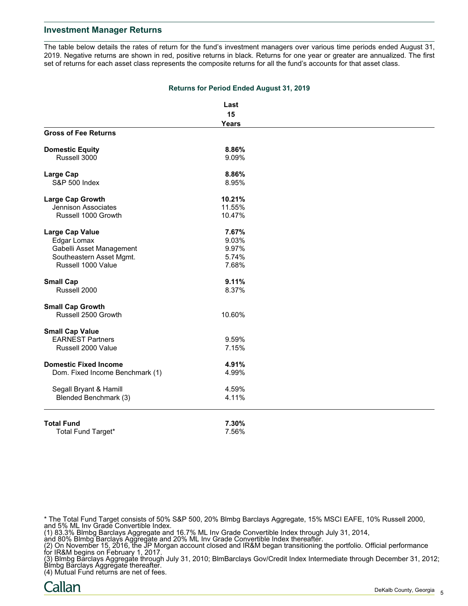The table below details the rates of return for the fund's investment managers over various time periods ended August 31, 2019. Negative returns are shown in red, positive returns in black. Returns for one year or greater are annualized. The first set of returns for each asset class represents the composite returns for all the fund's accounts for that asset class.

|                                 | Last         |  |
|---------------------------------|--------------|--|
|                                 | 15           |  |
|                                 | <b>Years</b> |  |
| <b>Gross of Fee Returns</b>     |              |  |
| <b>Domestic Equity</b>          | 8.86%        |  |
| Russell 3000                    | 9.09%        |  |
| <b>Large Cap</b>                | 8.86%        |  |
| S&P 500 Index                   | 8.95%        |  |
| Large Cap Growth                | 10.21%       |  |
| Jennison Associates             | 11.55%       |  |
| Russell 1000 Growth             | 10.47%       |  |
| <b>Large Cap Value</b>          | 7.67%        |  |
| Edgar Lomax                     | 9.03%        |  |
| Gabelli Asset Management        | 9.97%        |  |
| Southeastern Asset Mgmt.        | 5.74%        |  |
| Russell 1000 Value              | 7.68%        |  |
| <b>Small Cap</b>                | 9.11%        |  |
| Russell 2000                    | 8.37%        |  |
| <b>Small Cap Growth</b>         |              |  |
| Russell 2500 Growth             | 10.60%       |  |
| <b>Small Cap Value</b>          |              |  |
| <b>EARNEST Partners</b>         | 9.59%        |  |
| Russell 2000 Value              | 7.15%        |  |
| <b>Domestic Fixed Income</b>    | 4.91%        |  |
| Dom. Fixed Income Benchmark (1) | 4.99%        |  |
| Segall Bryant & Hamill          | 4.59%        |  |
| Blended Benchmark (3)           | 4.11%        |  |
| <b>Total Fund</b>               | 7.30%        |  |
| Total Fund Target*              | 7.56%        |  |

#### **Returns for Period Ended August 31, 2019**

\* The Total Fund Target consists of 50% S&P 500, 20% Blmbg Barclays Aggregate, 15% MSCI EAFE, 10% Russell 2000, and 5% ML Inv Grade Convertible Index.

(1) 83.3% Blmbg Barclays Aggregate and 16.7% ML Inv Grade Convertible Index through July 31, 2014,

and 80% Blmbg Barclays Aggregate and 20% ML Inv Grade Convertible Index thereafter.

(2) On November 15, 2016, the JP Morgan account closed and IR&M began transitioning the portfolio. Official performance for IR&M begins on February 1, 2017.

(3) Blmbg Barclays Aggregate through July 31, 2010; BlmBarclays Gov/Credit Index Intermediate through December 31, 2012; Blmbg Barclays Aggregate thereafter.

(4) Mutual Fund returns are net of fees.

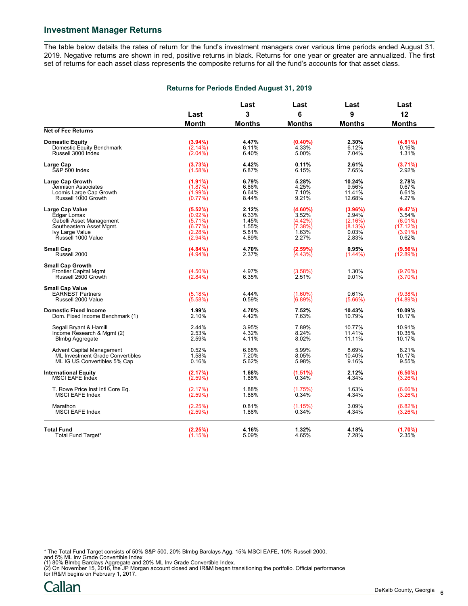The table below details the rates of return for the fund's investment managers over various time periods ended August 31, 2019. Negative returns are shown in red, positive returns in black. Returns for one year or greater are annualized. The first set of returns for each asset class represents the composite returns for all the fund's accounts for that asset class.

#### **Returns for Periods Ended August 31, 2019**

|                                                                                |                       | Last           |                       | Last             | Last                   |
|--------------------------------------------------------------------------------|-----------------------|----------------|-----------------------|------------------|------------------------|
|                                                                                | Last                  | 3              | 6                     | 9                | 12                     |
| <b>Net of Fee Returns</b>                                                      | <b>Month</b>          | <b>Months</b>  | <b>Months</b>         | <b>Months</b>    | <b>Months</b>          |
| <b>Domestic Equity</b>                                                         | (3.94%)               | 4.47%          | $(0.40\%)$            | 2.30%            | (4.81%)                |
| Domestic Equity Benchmark                                                      | $(2.14\%)$            | 6.11%          | 4.33%                 | 6.12%            | 0.16%                  |
| Russell 3000 Index                                                             | $(2.04\%)$            | 6.40%          | 5.00%                 | 7.04%            | 1.31%                  |
| Large Cap                                                                      | (3.73%)               | 4.42%          | 0.11%                 | 2.61%            | (3.71%)                |
| <b>S&amp;P 500 Index</b>                                                       | (1.58%)               | 6.87%          | 6.15%                 | 7.65%            | 2.92%                  |
| <b>Large Cap Growth</b>                                                        | (1.91%)               | 6.79%          | 5.28%                 | 10.24%           | 2.78%                  |
| Jennison Associates                                                            | (1.87%)               | 6.86%          | 4.25%                 | 9.56%            | 0.67%                  |
| Loomis Large Cap Growth                                                        | $(1.99\%)$            | 6.64%          | 7.10%                 | 11.41%           | 6.61%                  |
| Russell 1000 Growth                                                            | $(0.77\%)$            | 8.44%          | 9.21%                 | 12.68%           | 4.27%                  |
| <b>Large Cap Value</b>                                                         | (5.52%)               | 2.12%          | $(4.60\%)$            | (3.96%)          | (9.47%)                |
| Edgar Lomax                                                                    | $(0.92\%)$            | 6.33%          | 3.52%                 | 2.94%            | 3.54%                  |
| Gabelli Asset Management                                                       | $(5.71\%)$            | 1.45%          | (4.42%)               | (2.16%)          | $(6.01\%)$             |
| Southeastern Asset Mgmt.                                                       | (6.77%)               | 1.55%          | (7.38%)               | (8.13%)          | (17.12%)               |
| Ivy Large Value                                                                | (2.28%)               | 5.81%          | 1.63%                 | 0.03%            | $(3.91\%)$             |
| Russell 1000 Value                                                             | $(2.94\%)$            | 4.89%          | 2.27%                 | 2.83%            | 0.62%                  |
| <b>Small Cap</b>                                                               | (4.84%)               | 4.70%          | (2.59%)               | 0.95%            | (9.56%)                |
| Russell 2000                                                                   | $(4.94\%)$            | 2.37%          | (4.43%)               | $(1.44\%)$       | (12.89%)               |
| <b>Small Cap Growth</b><br><b>Frontier Capital Mgmt</b><br>Russell 2500 Growth | (4.50%)<br>$(2.84\%)$ | 4.97%<br>6.35% | (3.58%)<br>2.51%      | 1.30%<br>9.01%   | (9.76%)<br>$(3.70\%)$  |
| <b>Small Cap Value</b><br><b>EARNEST Partners</b><br>Russell 2000 Value        | (5.18%)<br>(5.58%)    | 4.44%<br>0.59% | $(1.60\%)$<br>(6.89%) | 0.61%<br>(5.66%) | $(9.38\%)$<br>(14.89%) |
| <b>Domestic Fixed Income</b>                                                   | 1.99%                 | 4.70%          | 7.52%                 | 10.43%           | 10.09%                 |
| Dom. Fixed Income Benchmark (1)                                                | 2.10%                 | 4.42%          | 7.63%                 | 10.79%           | 10.17%                 |
| Segall Bryant & Hamill                                                         | 2.44%                 | 3.95%          | 7.89%                 | 10.77%           | 10.91%                 |
| Income Research & Mgmt (2)                                                     | 2.53%                 | 4.32%          | 8.24%                 | 11.41%           | 10.35%                 |
| <b>Blmbg Aggregate</b>                                                         | 2.59%                 | 4.11%          | 8.02%                 | 11.11%           | 10.17%                 |
| <b>Advent Capital Management</b>                                               | 0.52%                 | 6.68%          | 5.99%                 | 8.69%            | 8.21%                  |
| ML Investment Grade Convertibles                                               | 1.58%                 | 7.20%          | 8.05%                 | 10.40%           | 10.17%                 |
| ML IG US Convertibles 5% Cap                                                   | 0.16%                 | 5.62%          | 5.98%                 | 9.16%            | 9.55%                  |
| <b>International Equity</b>                                                    | (2.17%)               | 1.68%          | (1.51%)               | 2.12%            | $(6.50\%)$             |
| <b>MSCI EAFE Index</b>                                                         | (2.59%)               | 1.88%          | 0.34%                 | 4.34%            | (3.26%)                |
| T. Rowe Price Inst Intl Core Eq.                                               | (2.17%)               | 1.88%          | (1.75%)               | 1.63%            | (6.66%)                |
| <b>MSCI EAFE Index</b>                                                         | (2.59%)               | 1.88%          | 0.34%                 | 4.34%            | (3.26%)                |
| Marathon                                                                       | (2.25%)               | 0.81%          | (1.15%)               | 3.09%            | (6.82%)                |
| <b>MSCI EAFE Index</b>                                                         | (2.59%)               | 1.88%          | 0.34%                 | 4.34%            | (3.26%)                |
| <b>Total Fund</b>                                                              | (2.25%)               | 4.16%          | 1.32%                 | 4.18%            | (1.70%)                |
| Total Fund Target*                                                             | (1.15%)               | 5.09%          | 4.65%                 | 7.28%            | 2.35%                  |

\* The Total Fund Target consists of 50% S&P 500, 20% Blmbg Barclays Agg, 15% MSCI EAFE, 10% Russell 2000, and 5% ML Inv Grade Convertible Index

(1) 80% Blmbg Barclays Aggregate and 20% ML Inv Grade Convertible Index.<br>(2) On November 15, 2016, the JP Morgan account closed and IR&M began transitioning the portfolio. Official performance<br>for IR&M begins on February 1

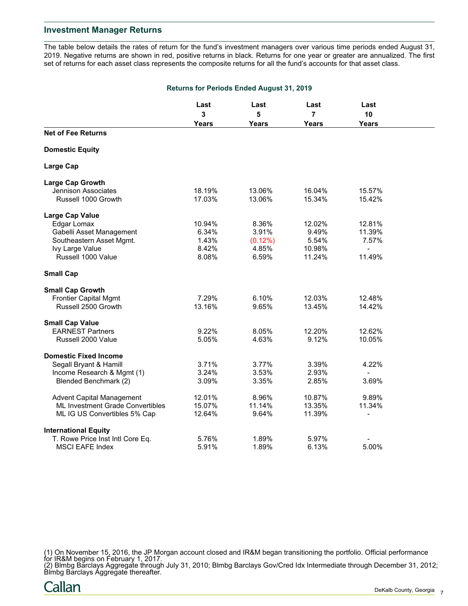The table below details the rates of return for the fund's investment managers over various time periods ended August 31, 2019. Negative returns are shown in red, positive returns in black. Returns for one year or greater are annualized. The first set of returns for each asset class represents the composite returns for all the fund's accounts for that asset class.

| <b>Returns for Periods Ended August 31, 2019</b> |              |              |              |                          |  |
|--------------------------------------------------|--------------|--------------|--------------|--------------------------|--|
|                                                  | Last         | Last         | Last         | Last                     |  |
|                                                  | $\mathbf{3}$ | 5            | 7            | 10                       |  |
|                                                  | <b>Years</b> | <b>Years</b> | <b>Years</b> | <b>Years</b>             |  |
| <b>Net of Fee Returns</b>                        |              |              |              |                          |  |
| <b>Domestic Equity</b>                           |              |              |              |                          |  |
| <b>Large Cap</b>                                 |              |              |              |                          |  |
| <b>Large Cap Growth</b>                          |              |              |              |                          |  |
| Jennison Associates                              | 18.19%       | 13.06%       | 16.04%       | 15.57%                   |  |
| Russell 1000 Growth                              | 17.03%       | 13.06%       | 15.34%       | 15.42%                   |  |
| <b>Large Cap Value</b>                           |              |              |              |                          |  |
| Edgar Lomax                                      | 10.94%       | 8.36%        | 12.02%       | 12.81%                   |  |
| Gabelli Asset Management                         | 6.34%        | 3.91%        | 9.49%        | 11.39%                   |  |
| Southeastern Asset Mgmt.                         | 1.43%        | $(0.12\%)$   | 5.54%        | 7.57%                    |  |
| Ivy Large Value                                  | 8.42%        | 4.85%        | 10.98%       | $\blacksquare$           |  |
| Russell 1000 Value                               | 8.08%        | 6.59%        | 11.24%       | 11.49%                   |  |
| <b>Small Cap</b>                                 |              |              |              |                          |  |
| <b>Small Cap Growth</b>                          |              |              |              |                          |  |
| <b>Frontier Capital Mgmt</b>                     | 7.29%        | 6.10%        | 12.03%       | 12.48%                   |  |
| Russell 2500 Growth                              | 13.16%       | 9.65%        | 13.45%       | 14.42%                   |  |
| <b>Small Cap Value</b>                           |              |              |              |                          |  |
| <b>EARNEST Partners</b>                          | 9.22%        | 8.05%        | 12.20%       | 12.62%                   |  |
| Russell 2000 Value                               | 5.05%        | 4.63%        | 9.12%        | 10.05%                   |  |
| <b>Domestic Fixed Income</b>                     |              |              |              |                          |  |
| Segall Bryant & Hamill                           | 3.71%        | 3.77%        | 3.39%        | 4.22%                    |  |
| Income Research & Mgmt (1)                       | 3.24%        | 3.53%        | 2.93%        |                          |  |
| Blended Benchmark (2)                            | 3.09%        | 3.35%        | 2.85%        | 3.69%                    |  |
| <b>Advent Capital Management</b>                 | 12.01%       | 8.96%        | 10.87%       | 9.89%                    |  |
| <b>ML Investment Grade Convertibles</b>          | 15.07%       | 11.14%       | 13.35%       | 11.34%                   |  |
| ML IG US Convertibles 5% Cap                     | 12.64%       | 9.64%        | 11.39%       | $\overline{\phantom{0}}$ |  |
| <b>International Equity</b>                      |              |              |              |                          |  |
| T. Rowe Price Inst Intl Core Eq.                 | 5.76%        | 1.89%        | 5.97%        |                          |  |
| <b>MSCI EAFE Index</b>                           | 5.91%        | 1.89%        | 6.13%        | 5.00%                    |  |

(1) On November 15, 2016, the JP Morgan account closed and IR&M began transitioning the portfolio. Official performance for IR&M begins on February 1, 2017.

(2) Blmbg Barclays Aggregate through July 31, 2010; Blmbg Barclays Gov/Cred Idx Intermediate through December 31, 2012; Blmbg Barclays Aggregate thereafter.

Callan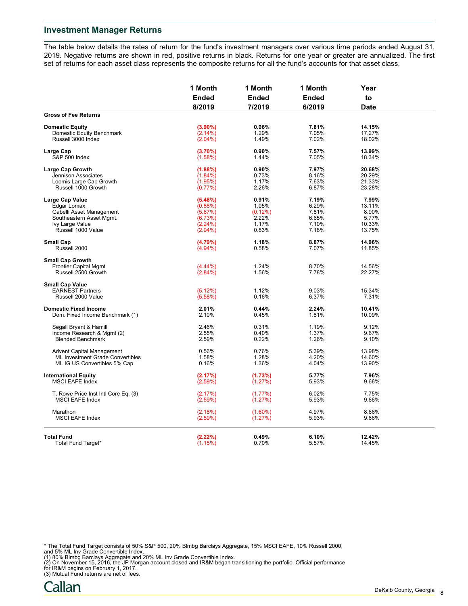The table below details the rates of return for the fund's investment managers over various time periods ended August 31, 2019. Negative returns are shown in red, positive returns in black. Returns for one year or greater are annualized. The first set of returns for each asset class represents the composite returns for all the fund's accounts for that asset class.

|                                                         | 1 Month<br><b>Ended</b><br>8/2019 | 1 Month<br><b>Ended</b><br>7/2019 | 1 Month<br><b>Ended</b><br>6/2019 | Year<br>to<br><b>Date</b> |  |
|---------------------------------------------------------|-----------------------------------|-----------------------------------|-----------------------------------|---------------------------|--|
|                                                         |                                   |                                   |                                   |                           |  |
|                                                         |                                   |                                   |                                   |                           |  |
| <b>Gross of Fee Returns</b>                             |                                   |                                   |                                   |                           |  |
| <b>Domestic Equity</b>                                  | $(3.90\%)$                        | 0.96%                             | 7.81%                             | 14.15%                    |  |
| Domestic Equity Benchmark                               | (2.14%)                           | 1.29%                             | 7.05%                             | 17.27%                    |  |
| Russell 3000 Index                                      | $(2.04\%)$                        | 1.49%                             | 7.02%                             | 18.02%                    |  |
| Large Cap                                               | (3.70%)                           | 0.90%                             | 7.57%                             | 13.99%                    |  |
| S&P 500 Index                                           | (1.58%)                           | 1.44%                             | 7.05%                             | 18.34%                    |  |
| <b>Large Cap Growth</b>                                 | $(1.88\%)$                        | 0.90%                             | 7.97%                             | 20.68%                    |  |
| Jennison Associates                                     | $(1.84\%)$                        | 0.73%                             | 8.16%                             | 20.29%                    |  |
| Loomis Large Cap Growth                                 | (1.95%)                           | 1.17%                             | 7.63%                             | 21.33%                    |  |
| Russell 1000 Growth                                     | (0.77%)                           | 2.26%                             | 6.87%                             | 23.28%                    |  |
|                                                         |                                   |                                   |                                   |                           |  |
| Large Cap Value                                         | (5.48%)                           | 0.91%                             | 7.19%<br>6.29%                    | 7.99%<br>13.11%           |  |
| Edgar Lomax                                             | $(0.88\%)$                        | 1.05%                             |                                   |                           |  |
| Gabelli Asset Management                                | (5.67%)                           | (0.12%)                           | 7.81%                             | 8.90%                     |  |
| Southeastern Asset Mgmt.                                | (6.73%)                           | 2.22%                             | 6.65%                             | 5.77%                     |  |
| Ivy Large Value                                         | (2.24%)                           | 1.17%                             | 7.10%                             | 10.33%                    |  |
| Russell 1000 Value                                      | $(2.94\%)$                        | 0.83%                             | 7.18%                             | 13.75%                    |  |
| <b>Small Cap</b>                                        | (4.79%)                           | 1.18%                             | 8.87%                             | 14.96%                    |  |
| Russell 2000                                            | $(4.94\%)$                        | 0.58%                             | 7.07%                             | 11.85%                    |  |
|                                                         |                                   |                                   |                                   |                           |  |
| <b>Small Cap Growth</b><br><b>Frontier Capital Mgmt</b> | $(4.44\%)$                        | 1.24%                             | 8.70%                             | 14.56%                    |  |
| Russell 2500 Growth                                     |                                   |                                   |                                   |                           |  |
|                                                         | $(2.84\%)$                        | 1.56%                             | 7.78%                             | 22.27%                    |  |
| <b>Small Cap Value</b>                                  |                                   |                                   |                                   |                           |  |
| <b>EARNEST Partners</b>                                 | (5.12%)                           | 1.12%                             | 9.03%                             | 15.34%                    |  |
| Russell 2000 Value                                      | (5.58%)                           | 0.16%                             | 6.37%                             | 7.31%                     |  |
| <b>Domestic Fixed Income</b>                            | 2.01%                             | 0.44%                             | 2.24%                             | 10.41%                    |  |
| Dom. Fixed Income Benchmark (1)                         | 2.10%                             | 0.45%                             | 1.81%                             | 10.09%                    |  |
| Segall Bryant & Hamill                                  | 2.46%                             | 0.31%                             | 1.19%                             | 9.12%                     |  |
| Income Research & Mgmt (2)                              | 2.55%                             | 0.40%                             | 1.37%                             | 9.67%                     |  |
| <b>Blended Benchmark</b>                                | 2.59%                             | 0.22%                             | 1.26%                             | 9.10%                     |  |
|                                                         |                                   |                                   |                                   |                           |  |
| <b>Advent Capital Management</b>                        | 0.56%                             | 0.76%                             | 5.39%                             | 13.98%                    |  |
| ML Investment Grade Convertibles                        | 1.58%                             | 1.28%                             | 4.20%                             | 14.60%                    |  |
| ML IG US Convertibles 5% Cap                            | 0.16%                             | 1.36%                             | 4.04%                             | 13.90%                    |  |
| <b>International Equity</b>                             | (2.17%)                           | (1.73%)                           | 5.77%                             | 7.96%                     |  |
| <b>MSCI EAFE Index</b>                                  | (2.59%)                           | (1.27%)                           | 5.93%                             | 9.66%                     |  |
| T. Rowe Price Inst Intl Core Eq. (3)                    | (2.17%)                           | $(1.77\%)$                        | 6.02%                             | 7.75%                     |  |
| <b>MSCI EAFE Index</b>                                  | (2.59%)                           | (1.27%)                           | 5.93%                             | 9.66%                     |  |
|                                                         |                                   |                                   |                                   |                           |  |
| Marathon                                                | (2.18%)                           | $(1.60\%)$                        | 4.97%                             | 8.66%                     |  |
| <b>MSCI EAFE Index</b>                                  | (2.59%)                           | (1.27%)                           | 5.93%                             | 9.66%                     |  |
|                                                         |                                   |                                   |                                   |                           |  |
| <b>Total Fund</b>                                       | (2.22%)                           | 0.49%                             | 6.10%                             | 12.42%                    |  |
| Total Fund Target*                                      | (1.15%)                           | 0.70%                             | 5.57%                             | 14.45%                    |  |

- 
- \* The Total Fund Target consists of 50% S&P 500, 20% Blmbg Barclays Aggregate, 15% MSCI EAFE, 10% Russell 2000,<br>and 5% ML Inv Grade Convertible Index.<br>(1) 80% Blmbg Barclays Aggregate and 20% ML Inv Grade Convertible Index
- 
-